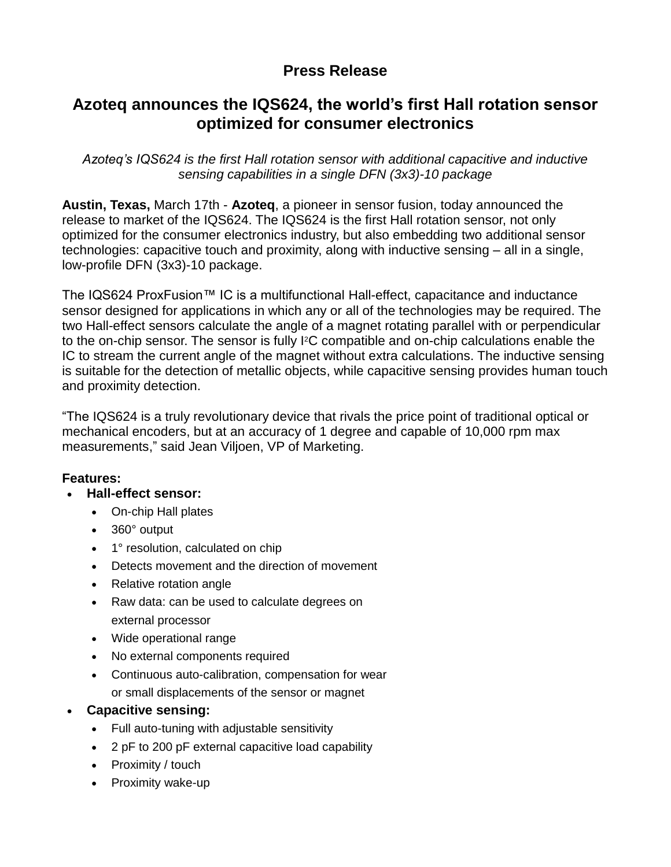## **Press Release**

# **Azoteq announces the IQS624, the world's first Hall rotation sensor optimized for consumer electronics**

*Azoteq's IQS624 is the first Hall rotation sensor with additional capacitive and inductive sensing capabilities in a single DFN (3x3)-10 package*

**Austin, Texas,** March 17th - **Azoteq**, a pioneer in sensor fusion, today announced the release to market of the IQS624. The IQS624 is the first Hall rotation sensor, not only optimized for the consumer electronics industry, but also embedding two additional sensor technologies: capacitive touch and proximity, along with inductive sensing – all in a single, low-profile DFN (3x3)-10 package.

The IQS624 ProxFusion™ IC is a multifunctional Hall-effect, capacitance and inductance sensor designed for applications in which any or all of the technologies may be required. The two Hall-effect sensors calculate the angle of a magnet rotating parallel with or perpendicular to the on-chip sensor. The sensor is fully I2C compatible and on-chip calculations enable the IC to stream the current angle of the magnet without extra calculations. The inductive sensing is suitable for the detection of metallic objects, while capacitive sensing provides human touch and proximity detection.

"The IQS624 is a truly revolutionary device that rivals the price point of traditional optical or mechanical encoders, but at an accuracy of 1 degree and capable of 10,000 rpm max measurements," said Jean Viljoen, VP of Marketing.

## **Features:**

- **Hall-effect sensor:**
	- On-chip Hall plates
	- 360° output
	- 1° resolution, calculated on chip
	- Detects movement and the direction of movement
	- Relative rotation angle
	- Raw data: can be used to calculate degrees on external processor
	- Wide operational range
	- No external components required
	- Continuous auto-calibration, compensation for wear or small displacements of the sensor or magnet

## **Capacitive sensing:**

- Full auto-tuning with adjustable sensitivity
- 2 pF to 200 pF external capacitive load capability
- Proximity / touch
- Proximity wake-up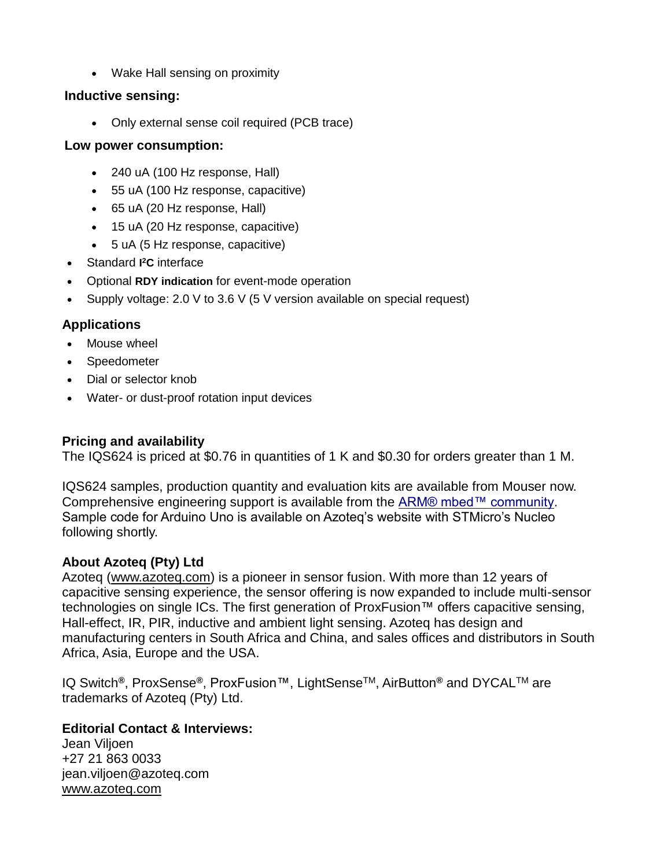• Wake Hall sensing on proximity

#### **Inductive sensing:**

• Only external sense coil required (PCB trace)

#### **Low power consumption:**

- 240 uA (100 Hz response, Hall)
- 55 uA (100 Hz response, capacitive)
- 65 uA (20 Hz response, Hall)
- 15 uA (20 Hz response, capacitive)
- 5 uA (5 Hz response, capacitive)
- Standard **I <sup>2</sup>C** interface
- Optional **RDY indication** for event-mode operation
- Supply voltage: 2.0 V to 3.6 V (5 V version available on special request)

## **Applications**

- Mouse wheel
- Speedometer
- Dial or selector knob
- Water- or dust-proof rotation input devices

## **Pricing and availability**

The IQS624 is priced at \$0.76 in quantities of 1 K and \$0.30 for orders greater than 1 M.

IQS624 samples, production quantity and evaluation kits are available from Mouser now. Comprehensive engineering support is available from the [ARM® mbed™ community.](https://developer.mbed.org/components/IQS624/) Sample code for Arduino Uno is available on Azoteq's website with STMicro's Nucleo following shortly.

## **About Azoteq (Pty) Ltd**

Azoteq [\(www.azoteq.com\)](http://www.azoteq.com/) is a pioneer in sensor fusion. With more than 12 years of capacitive sensing experience, the sensor offering is now expanded to include multi-sensor technologies on single ICs. The first generation of ProxFusion™ offers capacitive sensing, Hall-effect, IR, PIR, inductive and ambient light sensing. Azoteq has design and manufacturing centers in South Africa and China, and sales offices and distributors in South Africa, Asia, Europe and the USA.

IQ Switch**®**, ProxSense**®**, ProxFusion™, LightSenseTM, AirButton**®** and DYCALTM are trademarks of Azoteq (Pty) Ltd.

## **Editorial Contact & Interviews:**

Jean Viljoen +27 21 863 0033 jean.viljoen@azoteq.com [www.azoteq.com](http://www.azoteq.com/)